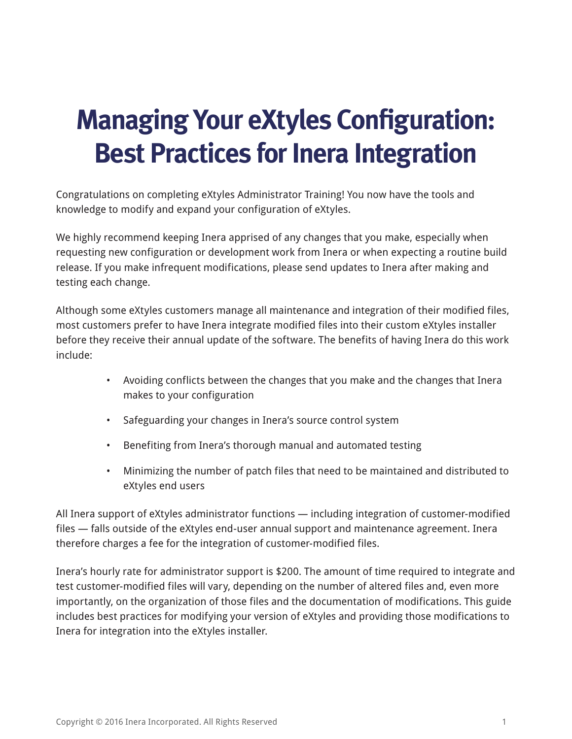## **Managing Your eXtyles Configuration: Best Practices for Inera Integration**

Congratulations on completing eXtyles Administrator Training! You now have the tools and knowledge to modify and expand your configuration of eXtyles.

We highly recommend keeping Inera apprised of any changes that you make, especially when requesting new configuration or development work from Inera or when expecting a routine build release. If you make infrequent modifications, please send updates to Inera after making and testing each change.

Although some eXtyles customers manage all maintenance and integration of their modified files, most customers prefer to have Inera integrate modified files into their custom eXtyles installer before they receive their annual update of the software. The benefits of having Inera do this work include:

- Avoiding conflicts between the changes that you make and the changes that Inera makes to your configuration
- Safeguarding your changes in Inera's source control system
- Benefiting from Inera's thorough manual and automated testing
- Minimizing the number of patch files that need to be maintained and distributed to eXtyles end users

All Inera support of eXtyles administrator functions — including integration of customer-modified files — falls outside of the eXtyles end-user annual support and maintenance agreement. Inera therefore charges a fee for the integration of customer-modified files.

Inera's hourly rate for administrator support is \$200. The amount of time required to integrate and test customer-modified files will vary, depending on the number of altered files and, even more importantly, on the organization of those files and the documentation of modifications. This guide includes best practices for modifying your version of eXtyles and providing those modifications to Inera for integration into the eXtyles installer.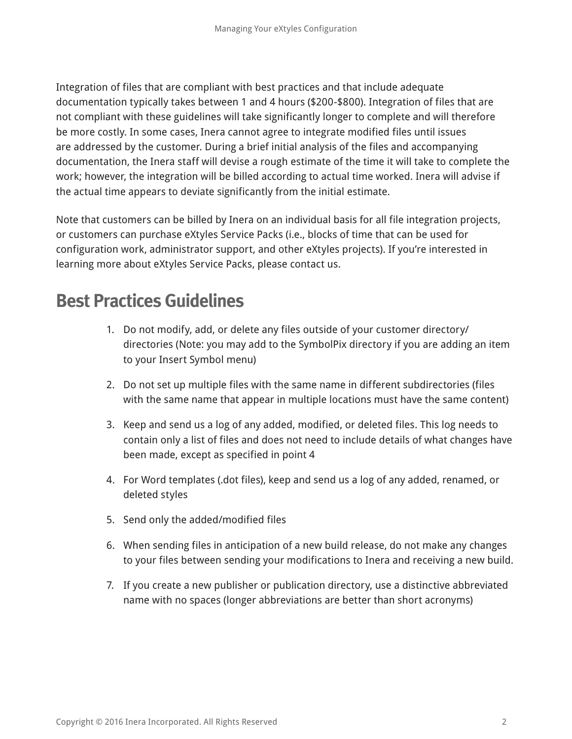Integration of files that are compliant with best practices and that include adequate documentation typically takes between 1 and 4 hours (\$200-\$800). Integration of files that are not compliant with these guidelines will take significantly longer to complete and will therefore be more costly. In some cases, Inera cannot agree to integrate modified files until issues are addressed by the customer. During a brief initial analysis of the files and accompanying documentation, the Inera staff will devise a rough estimate of the time it will take to complete the work; however, the integration will be billed according to actual time worked. Inera will advise if the actual time appears to deviate significantly from the initial estimate.

Note that customers can be billed by Inera on an individual basis for all file integration projects, or customers can purchase eXtyles Service Packs (i.e., blocks of time that can be used for configuration work, administrator support, and other eXtyles projects). If you're interested in learning more about eXtyles Service Packs, please contact us.

## **Best Practices Guidelines**

- 1. Do not modify, add, or delete any files outside of your customer directory/ directories (Note: you may add to the SymbolPix directory if you are adding an item to your Insert Symbol menu)
- 2. Do not set up multiple files with the same name in different subdirectories (files with the same name that appear in multiple locations must have the same content)
- 3. Keep and send us a log of any added, modified, or deleted files. This log needs to contain only a list of files and does not need to include details of what changes have been made, except as specified in point 4
- 4. For Word templates (.dot files), keep and send us a log of any added, renamed, or deleted styles
- 5. Send only the added/modified files
- 6. When sending files in anticipation of a new build release, do not make any changes to your files between sending your modifications to Inera and receiving a new build.
- 7. If you create a new publisher or publication directory, use a distinctive abbreviated name with no spaces (longer abbreviations are better than short acronyms)